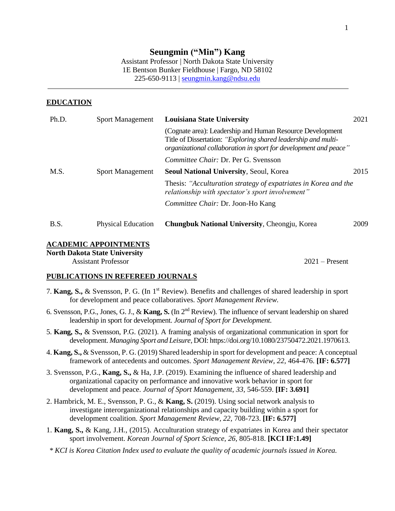# **Seungmin ("Min") Kang**

Assistant Professor | North Dakota State University 1E Bentson Bunker Fieldhouse | Fargo, ND 58102 225-650-9113 | [seungmin.kang@ndsu.edu](mailto:seungmin.kang@ndsu.edu)

#### **EDUCATION**

| Ph.D. | <b>Sport Management</b>   | <b>Louisiana State University</b>                                                                                                                                                               | 2021 |
|-------|---------------------------|-------------------------------------------------------------------------------------------------------------------------------------------------------------------------------------------------|------|
|       |                           | (Cognate area): Leadership and Human Resource Development<br>Title of Dissertation: "Exploring shared leadership and multi-<br>organizational collaboration in sport for development and peace" |      |
|       |                           | Committee Chair: Dr. Per G. Svensson                                                                                                                                                            |      |
| M.S.  | <b>Sport Management</b>   | Seoul National University, Seoul, Korea                                                                                                                                                         | 2015 |
|       |                           | Thesis: "Acculturation strategy of expatriates in Korea and the<br>relationship with spectator's sport involvement"                                                                             |      |
|       |                           | Committee Chair: Dr. Joon-Ho Kang                                                                                                                                                               |      |
| B.S.  | <b>Physical Education</b> | Chungbuk National University, Cheongju, Korea                                                                                                                                                   | 2009 |

### **ACADEMIC APPOINTMENTS**

**North Dakota State University**

Assistant Professor 2021 – Present

### **PUBLICATIONS IN REFEREED JOURNALS**

- 7. **Kang, S.,** & Svensson, P. G. (In 1st Review). Benefits and challenges of shared leadership in sport for development and peace collaboratives. *Sport Management Review.*
- 6. Svensson, P.G., Jones, G. J., & **Kang, S.** (In 2 nd Review). The influence of servant leadership on shared leadership in sport for development. *Journal of Sport for Development.*
- 5. **Kang, S.,** & Svensson, P.G. (2021). A framing analysis of organizational communication in sport for development. *Managing Sport and Leisure,* DOI: https://doi.org/10.1080/23750472.2021.1970613.
- 4. **Kang, S.,** & Svensson, P. G. (2019) Shared leadership in sport for development and peace: A conceptual framework of antecedents and outcomes. *Sport Management Review, 22,* 464-476. **[IF: 6.577]**
- 3. Svensson, P.G., **Kang, S.,** & Ha, J.P. (2019). Examining the influence of shared leadership and organizational capacity on performance and innovative work behavior in sport for development and peace. *Journal of Sport Management, 33,* 546-559. **[IF: 3.691]**
- 2. Hambrick, M. E., Svensson, P. G., & **Kang, S.** (2019). Using social network analysis to investigate interorganizational relationships and capacity building within a sport for development coalition. *Sport Management Review, 22,* 708-723. **[IF: 6.577]**
- 1. **Kang, S.,** & Kang, J.H., (2015). Acculturation strategy of expatriates in Korea and their spectator sport involvement. *Korean Journal of Sport Science, 26*, 805-818. **[KCI IF:1.49]**
- *\* KCI is Korea Citation Index used to evaluate the quality of academic journals issued in Korea.*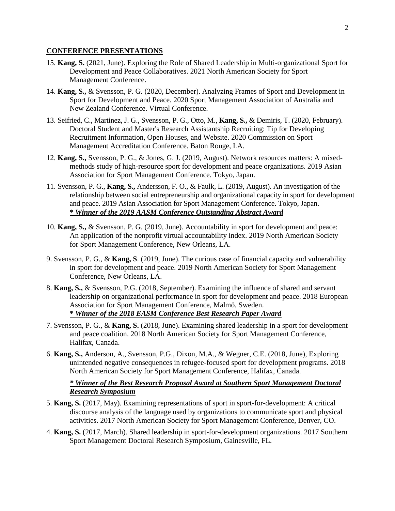#### **CONFERENCE PRESENTATIONS**

- 15. **Kang, S.** (2021, June). Exploring the Role of Shared Leadership in Multi-organizational Sport for Development and Peace Collaboratives. 2021 North American Society for Sport Management Conference.
- 14. **Kang, S.,** & Svensson, P. G. (2020, December). Analyzing Frames of Sport and Development in Sport for Development and Peace. 2020 Sport Management Association of Australia and New Zealand Conference. Virtual Conference.
- 13. Seifried, C., Martinez, J. G., Svensson, P. G., Otto, M., **Kang, S.,** & Demiris, T. (2020, February). Doctoral Student and Master's Research Assistantship Recruiting: Tip for Developing Recruitment Information, Open Houses, and Website. 2020 Commission on Sport Management Accreditation Conference. Baton Rouge, LA.
- 12. **Kang, S.,** Svensson, P. G., & Jones, G. J. (2019, August). Network resources matters: A mixedmethods study of high-resource sport for development and peace organizations. 2019 Asian Association for Sport Management Conference. Tokyo, Japan.
- 11. Svensson, P. G., **Kang, S.,** Andersson, F. O., & Faulk, L. (2019, August). An investigation of the relationship between social entrepreneurship and organizational capacity in sport for development and peace. 2019 Asian Association for Sport Management Conference. Tokyo, Japan. **\*** *Winner of the 2019 AASM Conference Outstanding Abstract Award*
- 10. **Kang, S.,** & Svensson, P. G. (2019, June). Accountability in sport for development and peace: An application of the nonprofit virtual accountability index. 2019 North American Society for Sport Management Conference, New Orleans, LA.
- 9. Svensson, P. G., & **Kang, S**. (2019, June). The curious case of financial capacity and vulnerability in sport for development and peace. 2019 North American Society for Sport Management Conference, New Orleans, LA.
- 8. **Kang, S.,** & Svensson, P.G. (2018, September). Examining the influence of shared and servant leadership on organizational performance in sport for development and peace. 2018 European Association for Sport Management Conference, Malmö, Sweden. **\*** *Winner of the 2018 EASM Conference Best Research Paper Award*
- 7. Svensson, P. G., & **Kang, S.** (2018, June). Examining shared leadership in a sport for development and peace coalition. 2018 North American Society for Sport Management Conference, Halifax, Canada.
- 6. **Kang, S.,** Anderson, A., Svensson, P.G., Dixon, M.A., & Wegner, C.E. (2018, June), Exploring unintended negative consequences in refugee-focused sport for development programs. 2018 North American Society for Sport Management Conference, Halifax, Canada.

### *\* Winner of the Best Research Proposal Award at Southern Sport Management Doctoral Research Symposium*

- 5. **Kang, S.** (2017, May). Examining representations of sport in sport-for-development: A critical discourse analysis of the language used by organizations to communicate sport and physical activities. 2017 North American Society for Sport Management Conference, Denver, CO.
- 4. **Kang, S.** (2017, March). Shared leadership in sport-for-development organizations. 2017 Southern Sport Management Doctoral Research Symposium, Gainesville, FL.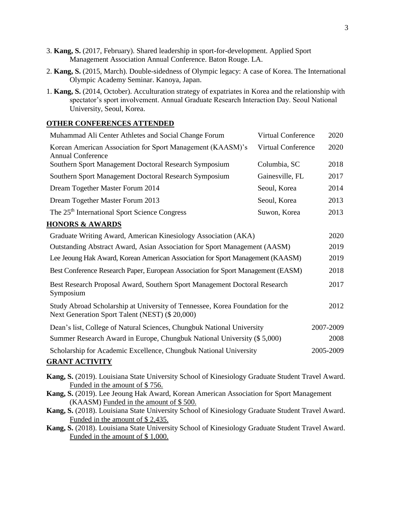- 3. **Kang, S.** (2017, February). Shared leadership in sport-for-development. Applied Sport Management Association Annual Conference. Baton Rouge. LA.
- 2. **Kang, S.** (2015, March). Double-sidedness of Olympic legacy: A case of Korea. The International Olympic Academy Seminar. Kanoya, Japan.
- 1. **Kang, S.** (2014, October). Acculturation strategy of expatriates in Korea and the relationship with spectator's sport involvement. Annual Graduate Research Interaction Day. Seoul National University, Seoul, Korea.

#### **OTHER CONFERENCES ATTENDED**

| Muhammad Ali Center Athletes and Social Change Forum                                   | <b>Virtual Conference</b> | 2020 |
|----------------------------------------------------------------------------------------|---------------------------|------|
| Korean American Association for Sport Management (KAASM)'s<br><b>Annual Conference</b> | <b>Virtual Conference</b> | 2020 |
| Southern Sport Management Doctoral Research Symposium                                  | Columbia, SC              | 2018 |
| Southern Sport Management Doctoral Research Symposium                                  | Gainesville, FL           | 2017 |
| Dream Together Master Forum 2014                                                       | Seoul, Korea              | 2014 |
| Dream Together Master Forum 2013<br>Seoul, Korea                                       |                           | 2013 |
| The 25 <sup>th</sup> International Sport Science Congress                              | Suwon, Korea              | 2013 |
| <b>HONORS &amp; AWARDS</b>                                                             |                           |      |
| Graduate Writing Award, American Kinesiology Association (AKA)                         |                           |      |
| Outstanding Abstract Award, Asian Association for Sport Management (AASM)              |                           |      |
| Lee Jeoung Hak Award, Korean American Association for Sport Management (KAASM)         |                           |      |
| Best Conference Research Paper, European Association for Sport Management (EASM)       |                           |      |

- Best Research Proposal Award, Southern Sport Management Doctoral Research Symposium 2017
- Study Abroad Scholarship at University of Tennessee, Korea Foundation for the Next Generation Sport Talent (NEST) (\$ 20,000) 2012
- Dean's list, College of Natural Sciences, Chungbuk National University 2007-2009 Summer Research Award in Europe, Chungbuk National University (\$ 5,000) 2008 Scholarship for Academic Excellence, Chungbuk National University 2005-2009

## **GRANT ACTIVITY**

- **Kang, S.** (2019). Louisiana State University School of Kinesiology Graduate Student Travel Award. Funded in the amount of \$ 756.
- **Kang, S.** (2019). Lee Jeoung Hak Award, Korean American Association for Sport Management (KAASM) Funded in the amount of \$ 500.
- **Kang, S.** (2018). Louisiana State University School of Kinesiology Graduate Student Travel Award. Funded in the amount of \$ 2,435.
- **Kang, S.** (2018). Louisiana State University School of Kinesiology Graduate Student Travel Award. Funded in the amount of \$ 1,000.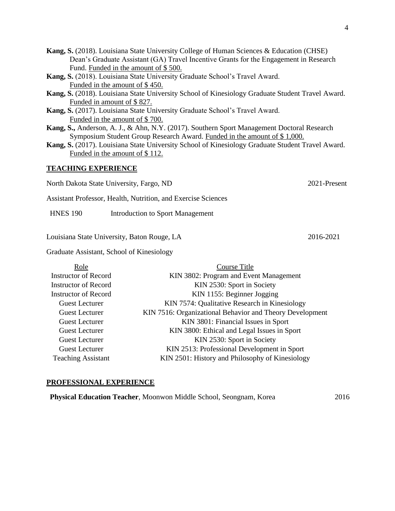- **Kang, S.** (2018). Louisiana State University College of Human Sciences & Education (CHSE) Dean's Graduate Assistant (GA) Travel Incentive Grants for the Engagement in Research Fund. Funded in the amount of \$ 500.
- **Kang, S.** (2018). Louisiana State University Graduate School's Travel Award. Funded in the amount of \$ 450.
- **Kang, S.** (2018). Louisiana State University School of Kinesiology Graduate Student Travel Award. Funded in amount of \$ 827.
- **Kang, S.** (2017). Louisiana State University Graduate School's Travel Award. Funded in the amount of \$ 700.
- **Kang, S.,** Anderson, A. J., & Ahn, N.Y. (2017). Southern Sport Management Doctoral Research Symposium Student Group Research Award. Funded in the amount of \$ 1,000.
- **Kang, S.** (2017). Louisiana State University School of Kinesiology Graduate Student Travel Award. Funded in the amount of \$ 112.

#### **TEACHING EXPERIENCE**

North Dakota State University, Fargo, ND 2021-Present

Assistant Professor, Health, Nutrition, and Exercise Sciences

HNES 190 Introduction to Sport Management

Louisiana State University, Baton Rouge, LA 2016-2021

Graduate Assistant, School of Kinesiology

| Course Title                                             |
|----------------------------------------------------------|
| KIN 3802: Program and Event Management                   |
| KIN 2530: Sport in Society                               |
| KIN 1155: Beginner Jogging                               |
| KIN 7574: Qualitative Research in Kinesiology            |
| KIN 7516: Organizational Behavior and Theory Development |
| KIN 3801: Financial Issues in Sport                      |
| KIN 3800: Ethical and Legal Issues in Sport              |
| KIN 2530: Sport in Society                               |
| KIN 2513: Professional Development in Sport              |
| KIN 2501: History and Philosophy of Kinesiology          |
|                                                          |

#### **PROFESSIONAL EXPERIENCE**

**Physical Education Teacher**, Moonwon Middle School, Seongnam, Korea 2016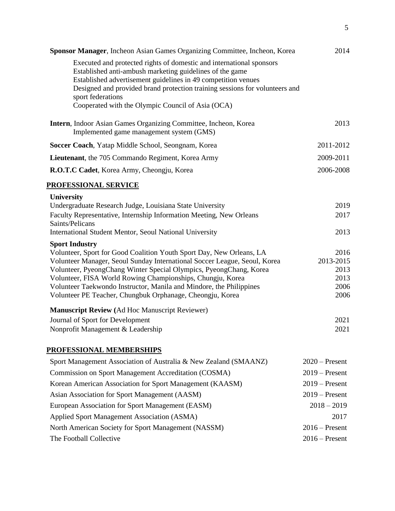| Sponsor Manager, Incheon Asian Games Organizing Committee, Incheon, Korea                                                                                                                                                                                                                             | 2014             |
|-------------------------------------------------------------------------------------------------------------------------------------------------------------------------------------------------------------------------------------------------------------------------------------------------------|------------------|
| Executed and protected rights of domestic and international sponsors<br>Established anti-ambush marketing guidelines of the game<br>Established advertisement guidelines in 49 competition venues<br>Designed and provided brand protection training sessions for volunteers and<br>sport federations |                  |
| Cooperated with the Olympic Council of Asia (OCA)                                                                                                                                                                                                                                                     |                  |
| Intern, Indoor Asian Games Organizing Committee, Incheon, Korea<br>Implemented game management system (GMS)                                                                                                                                                                                           | 2013             |
| Soccer Coach, Yatap Middle School, Seongnam, Korea                                                                                                                                                                                                                                                    | 2011-2012        |
| Lieutenant, the 705 Commando Regiment, Korea Army                                                                                                                                                                                                                                                     | 2009-2011        |
| R.O.T.C Cadet, Korea Army, Cheongju, Korea                                                                                                                                                                                                                                                            | 2006-2008        |
| PROFESSIONAL SERVICE                                                                                                                                                                                                                                                                                  |                  |
| <b>University</b>                                                                                                                                                                                                                                                                                     |                  |
| Undergraduate Research Judge, Louisiana State University                                                                                                                                                                                                                                              | 2019             |
| Faculty Representative, Internship Information Meeting, New Orleans                                                                                                                                                                                                                                   | 2017             |
| Saints/Pelicans<br>International Student Mentor, Seoul National University                                                                                                                                                                                                                            | 2013             |
| <b>Sport Industry</b>                                                                                                                                                                                                                                                                                 |                  |
| Volunteer, Sport for Good Coalition Youth Sport Day, New Orleans, LA                                                                                                                                                                                                                                  | 2016             |
| Volunteer Manager, Seoul Sunday International Soccer League, Seoul, Korea                                                                                                                                                                                                                             | 2013-2015        |
| Volunteer, PyeongChang Winter Special Olympics, PyeongChang, Korea<br>Volunteer, FISA World Rowing Championships, Chungju, Korea                                                                                                                                                                      | 2013<br>2013     |
| Volunteer Taekwondo Instructor, Manila and Mindore, the Philippines                                                                                                                                                                                                                                   | 2006             |
| Volunteer PE Teacher, Chungbuk Orphanage, Cheongju, Korea                                                                                                                                                                                                                                             | 2006             |
| <b>Manuscript Review (Ad Hoc Manuscript Reviewer)</b>                                                                                                                                                                                                                                                 |                  |
| Journal of Sport for Development                                                                                                                                                                                                                                                                      | 2021             |
| Nonprofit Management & Leadership                                                                                                                                                                                                                                                                     | 2021             |
| PROFESSIONAL MEMBERSHIPS                                                                                                                                                                                                                                                                              |                  |
| Sport Management Association of Australia & New Zealand (SMAANZ)                                                                                                                                                                                                                                      | $2020$ – Present |
| Commission on Sport Management Accreditation (COSMA)                                                                                                                                                                                                                                                  | $2019$ – Present |
| Korean American Association for Sport Management (KAASM)                                                                                                                                                                                                                                              | $2019$ – Present |
| Asian Association for Sport Management (AASM)                                                                                                                                                                                                                                                         | $2019$ – Present |
| European Association for Sport Management (EASM)                                                                                                                                                                                                                                                      | $2018 - 2019$    |
| <b>Applied Sport Management Association (ASMA)</b>                                                                                                                                                                                                                                                    | 2017             |
| North American Society for Sport Management (NASSM)                                                                                                                                                                                                                                                   | $2016$ – Present |
| The Football Collective                                                                                                                                                                                                                                                                               | $2016$ – Present |
|                                                                                                                                                                                                                                                                                                       |                  |